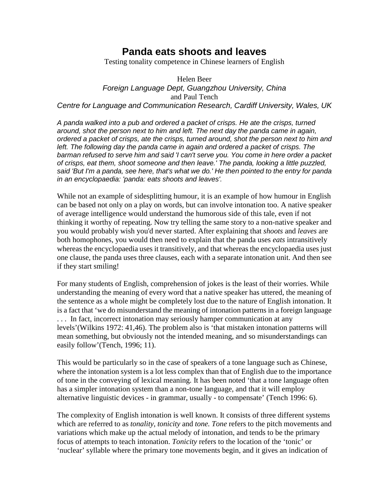# **Panda eats shoots and leaves**

Testing tonality competence in Chinese learners of English

Helen Beer *Foreign Language Dept, Guangzhou University, China* and Paul Tench *Centre for Language and Communication Research, Cardiff University, Wales, UK*

*A panda walked into a pub and ordered a packet of crisps. He ate the crisps, turned around, shot the person next to him and left. The next day the panda came in again, ordered a packet of crisps, ate the crisps, turned around, shot the person next to him and*  left. The following day the panda came in again and ordered a packet of crisps. The *barman refused to serve him and said 'I can't serve you. You come in here order a packet of crisps, eat them, shoot someone and then leave.' The panda, looking a little puzzled, said 'But I'm a panda, see here, that's what we do.' He then pointed to the entry for panda in an encyclopaedia: 'panda: eats shoots and leaves'.*

While not an example of sidesplitting humour, it is an example of how humour in English can be based not only on a play on words, but can involve intonation too. A native speaker of average intelligence would understand the humorous side of this tale, even if not thinking it worthy of repeating. Now try telling the same story to a non-native speaker and you would probably wish you'd never started. After explaining that *shoots* and *leaves* are both homophones, you would then need to explain that the panda uses *eats* intransitively whereas the encyclopaedia uses it transitively, and that whereas the encyclopaedia uses just one clause, the panda uses three clauses, each with a separate intonation unit. And then see if they start smiling!

For many students of English, comprehension of jokes is the least of their worries. While understanding the meaning of every word that a native speaker has uttered, the meaning of the sentence as a whole might be completely lost due to the nature of English intonation. It is a fact that 'we do misunderstand the meaning of intonation patterns in a foreign language ... In fact, incorrect intonation may seriously hamper communication at any levels'(Wilkins 1972: 41,46). The problem also is 'that mistaken intonation patterns will mean something, but obviously not the intended meaning, and so misunderstandings can easily follow'(Tench, 1996; 11).

This would be particularly so in the case of speakers of a tone language such as Chinese, where the intonation system is a lot less complex than that of English due to the importance of tone in the conveying of lexical meaning. It has been noted 'that a tone language often has a simpler intonation system than a non-tone language, and that it will employ alternative linguistic devices - in grammar, usually - to compensate' (Tench 1996: 6).

The complexity of English intonation is well known. It consists of three different systems which are referred to as *tonality, tonicity* and *tone. Tone* refers to the pitch movements and variations which make up the actual melody of intonation, and tends to be the primary focus of attempts to teach intonation. *Tonicity* refers to the location of the 'tonic' or 'nuclear' syllable where the primary tone movements begin, and it gives an indication of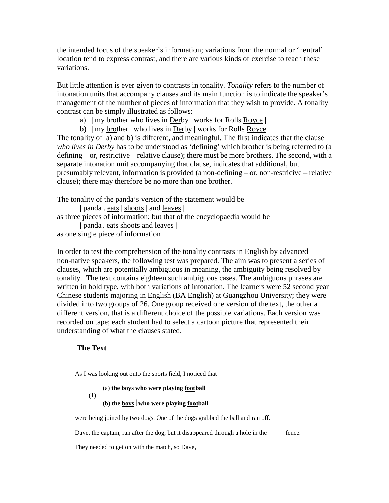the intended focus of the speaker's information; variations from the normal or 'neutral' location tend to express contrast, and there are various kinds of exercise to teach these variations.

But little attention is ever given to contrasts in tonality. *Tonality* refers to the number of intonation units that accompany clauses and its main function is to indicate the speaker's management of the number of pieces of information that they wish to provide. A tonality contrast can be simply illustrated as follows:

- a) | my brother who lives in Derby | works for Rolls Royce |
- b)  $|my|$  brother | who lives in Derby | works for Rolls Royce |

The tonality of a) and b) is different, and meaningful. The first indicates that the clause *who lives in Derby* has to be understood as 'defining' which brother is being referred to (a defining – or, restrictive – relative clause); there must be more brothers. The second, with a separate intonation unit accompanying that clause, indicates that additional, but presumably relevant, information is provided (a non-defining – or, non-restricive – relative clause); there may therefore be no more than one brother.

The tonality of the panda's version of the statement would be

| panda . eats | shoots | and leaves | as three pieces of information; but that of the encyclopaedia would be | panda . eats shoots and leaves |

as one single piece of information

In order to test the comprehension of the tonality contrasts in English by advanced non-native speakers, the following test was prepared. The aim was to present a series of clauses, which are potentially ambiguous in meaning, the ambiguity being resolved by tonality. The text contains eighteen such ambiguous cases. The ambiguous phrases are written in bold type, with both variations of intonation. The learners were 52 second year Chinese students majoring in English (BA English) at Guangzhou University; they were divided into two groups of 26. One group received one version of the text, the other a different version, that is a different choice of the possible variations. Each version was recorded on tape; each student had to select a cartoon picture that represented their understanding of what the clauses stated.

## **The Text**

(1)

As I was looking out onto the sports field, I noticed that

(a) **the boys who were playing football**

 $(b)$  the boys who were playing football

were being joined by two dogs. One of the dogs grabbed the ball and ran off.

Dave, the captain, ran after the dog, but it disappeared through a hole in the fence.

They needed to get on with the match, so Dave,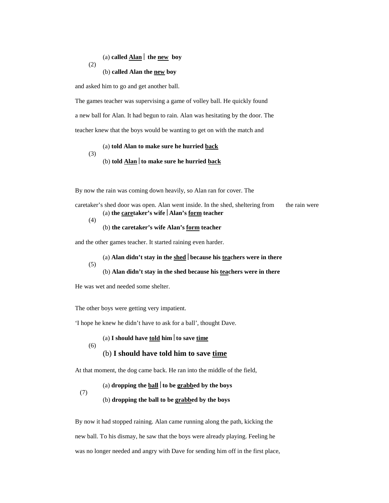#### (a) **called Alan** the new boy

#### (b) **called Alan the new boy**

and asked him to go and get another ball.

(2)

The games teacher was supervising a game of volley ball. He quickly found a new ball for Alan. It had begun to rain. Alan was hesitating by the door. The teacher knew that the boys would be wanting to get on with the match and

#### (a) **told Alan to make sure he hurried back** (3) (b) **told Alan to make sure he hurried back**

By now the rain was coming down heavily, so Alan ran for cover. The

| caretaker's shed door was open. Alan went inside. In the shed, sheltering from | the rain were |
|--------------------------------------------------------------------------------|---------------|
| (a) the caretaker's wife $\vert$ Alan's form teacher                           |               |
| (4)                                                                            |               |

#### (b) **the caretaker's wife Alan's form teacher**

and the other games teacher. It started raining even harder.

(a) **Alan didn't stay in the shed because his teachers were in there** (5) (b) **Alan didn't stay in the shed because his teachers were in there**

He was wet and needed some shelter.

(6)

(7)

The other boys were getting very impatient.

'I hope he knew he didn't have to ask for a ball', thought Dave.

(a) **I should have told him to save time**

#### (b) **I should have told him to save time**

At that moment, the dog came back. He ran into the middle of the field,

#### (a) **dropping the ball to be grabbed by the boys**

#### (b) **dropping the ball to be grabbed by the boys**

By now it had stopped raining. Alan came running along the path, kicking the new ball. To his dismay, he saw that the boys were already playing. Feeling he was no longer needed and angry with Dave for sending him off in the first place,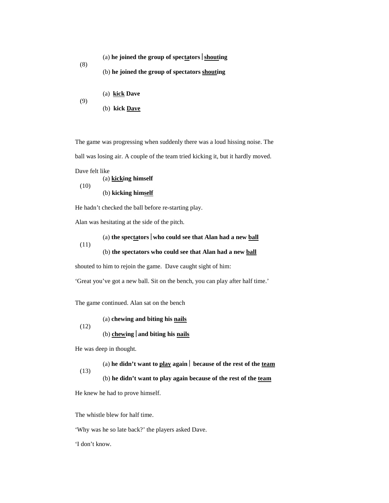$(a)$  **he joined the group of spectators** shouting

(b) **he joined the group of spectators shouting**

(a) **kick Dave** (9)

(b) **kick Dave**

The game was progressing when suddenly there was a loud hissing noise. The ball was losing air. A couple of the team tried kicking it, but it hardly moved.

Dave felt like

(8)

(a) **kicking himself** (10) (b) **kicking himself**

He hadn't checked the ball before re-starting play.

Alan was hesitating at the side of the pitch.

(a) **the spectators who could see that Alan had a new ball** (11) (b) **the spectators who could see that Alan had a new ball**

shouted to him to rejoin the game. Dave caught sight of him:

'Great you've got a new ball. Sit on the bench, you can play after half time.'

The game continued. Alan sat on the bench

(a) **chewing and biting his nails**

(12)

## (b) **chewing and biting his nails**

He was deep in thought.

(a) **he didn't want to play again because of the rest of the team**

(13)

(b) **he didn't want to play again because of the rest of the team**

He knew he had to prove himself.

The whistle blew for half time.

'Why was he so late back?' the players asked Dave.

'I don't know.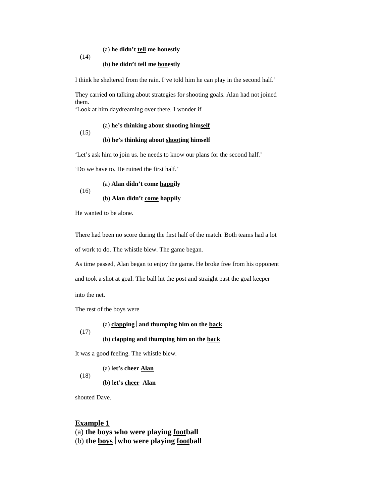#### (a) **he didn't tell me honestly**

#### (b) **he didn't tell me honestly**

I think he sheltered from the rain. I've told him he can play in the second half.'

They carried on talking about strategies for shooting goals. Alan had not joined them.

'Look at him daydreaming over there. I wonder if

(a) **he's thinking about shooting himself** (15)

#### (b) **he's thinking about shooting himself**

'Let's ask him to join us. he needs to know our plans for the second half.'

'Do we have to. He ruined the first half.'

(a) **Alan didn't come happily**

#### (b) **Alan didn't come happily**

He wanted to be alone.

(16)

(14)

There had been no score during the first half of the match. Both teams had a lot

of work to do. The whistle blew. The game began.

As time passed, Alan began to enjoy the game. He broke free from his opponent

and took a shot at goal. The ball hit the post and straight past the goal keeper

into the net.

The rest of the boys were

(a) **clapping and thumping him on the back** (17) (b) **clapping and thumping him on the back**

It was a good feeling. The whistle blew.

(a) l**et's cheer Alan**

(b) l**et's cheer Alan**

shouted Dave.

(18)

#### **Example 1**

(a) **the boys who were playing football**

(b) **the boys who were playing football**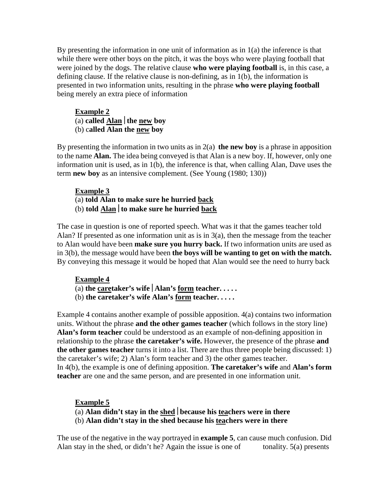By presenting the information in one unit of information as in 1(a) the inference is that while there were other boys on the pitch, it was the boys who were playing football that were joined by the dogs. The relative clause **who were playing football** is, in this case, a defining clause. If the relative clause is non-defining, as in 1(b), the information is presented in two information units, resulting in the phrase **who were playing football** being merely an extra piece of information

**Example 2** (a) **called Alan the new boy** (b) c**alled Alan the new boy**

By presenting the information in two units as in 2(a) **the new boy** is a phrase in apposition to the name **Alan.** The idea being conveyed is that Alan is a new boy. If, however, only one information unit is used, as in 1(b), the inference is that, when calling Alan, Dave uses the term **new boy** as an intensive complement. (See Young (1980; 130))

## **Example 3**

- (a) **told Alan to make sure he hurried back**
- (b) **told Alan to make sure he hurried back**

The case in question is one of reported speech. What was it that the games teacher told Alan? If presented as one information unit as is in 3(a), then the message from the teacher to Alan would have been **make sure you hurry back.** If two information units are used as in 3(b), the message would have been **the boys will be wanting to get on with the match.** By conveying this message it would be hoped that Alan would see the need to hurry back

## **Example 4**

- (a) **the caretaker's wife Alan's form teacher. . . . .**
- (b) **the caretaker's wife Alan's form teacher. . . . .**

Example 4 contains another example of possible apposition. 4(a) contains two information units. Without the phrase **and the other games teacher** (which follows in the story line) **Alan's form teacher** could be understood as an example of non-defining apposition in relationship to the phrase **the caretaker's wife.** However, the presence of the phrase **and the other games teacher** turns it into a list. There are thus three people being discussed: 1) the caretaker's wife; 2) Alan's form teacher and 3) the other games teacher. In 4(b), the example is one of defining apposition. **The caretaker's wife** and **Alan's form teacher** are one and the same person, and are presented in one information unit.

## **Example 5**

- (a) **Alan didn't stay in the shed because his teachers were in there**
- (b) **Alan didn't stay in the shed because his teachers were in there**

The use of the negative in the way portrayed in **example 5**, can cause much confusion. Did Alan stay in the shed, or didn't he? Again the issue is one of tonality.  $5(a)$  presents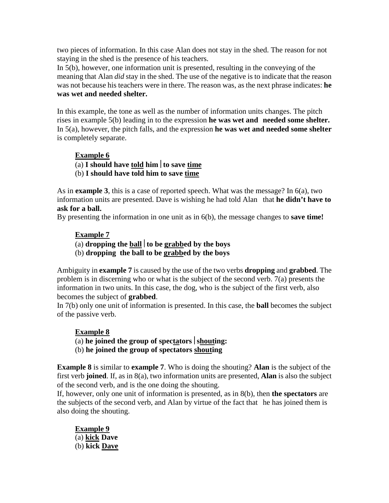two pieces of information. In this case Alan does not stay in the shed. The reason for not staying in the shed is the presence of his teachers.

In 5(b), however, one information unit is presented, resulting in the conveying of the meaning that Alan *did* stay in the shed. The use of the negative is to indicate that the reason was not because his teachers were in there. The reason was, as the next phrase indicates: **he was wet and needed shelter.**

In this example, the tone as well as the number of information units changes. The pitch rises in example 5(b) leading in to the expression **he was wet and needed some shelter.** In 5(a), however, the pitch falls, and the expression **he was wet and needed some shelter** is completely separate.

## **Example 6**

- (a) **I should have told him to save time**
- (b) **I should have told him to save time**

As in **example 3**, this is a case of reported speech. What was the message? In 6(a), two information units are presented. Dave is wishing he had told Alan that **he didn't have to ask for a ball.**

By presenting the information in one unit as in 6(b), the message changes to **save time!**

## **Example 7**

(a) **dropping the ball to be grabbed by the boys**

(b) **dropping the ball to be grabbed by the boys**

Ambiguity in **example 7** is caused by the use of the two verbs **dropping** and **grabbed**. The problem is in discerning who or what is the subject of the second verb. 7(a) presents the information in two units. In this case, the dog, who is the subject of the first verb, also becomes the subject of **grabbed**.

In 7(b) only one unit of information is presented. In this case, the **ball** becomes the subject of the passive verb.

## **Example 8**

(a) he joined the group of spectators  $\vert$  shouting:

(b) **he joined the group of spectators shouting**

**Example 8** is similar to **example 7**. Who is doing the shouting? **Alan** is the subject of the first verb **joined**. If, as in 8(a), two information units are presented, **Alan** is also the subject of the second verb, and is the one doing the shouting.

If, however, only one unit of information is presented, as in 8(b), then **the spectators** are the subjects of the second verb, and Alan by virtue of the fact that he has joined them is also doing the shouting.

**Example 9** (a) **kick Dave** (b) **kick Dave**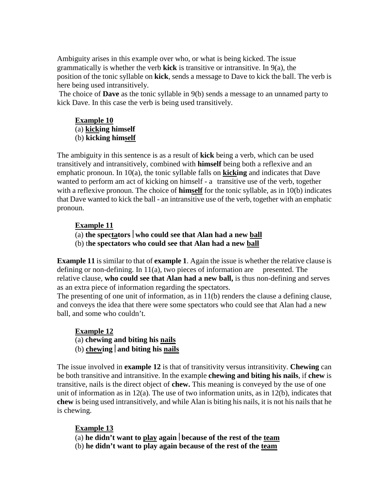Ambiguity arises in this example over who, or what is being kicked. The issue grammatically is whether the verb **kick** is transitive or intransitive. In 9(a), the position of the tonic syllable on **kick**, sends a message to Dave to kick the ball. The verb is here being used intransitively.

The choice of **Dave** as the tonic syllable in 9(b) sends a message to an unnamed party to kick Dave. In this case the verb is being used transitively.

# **Example 10**

(a) **kicking himself**

# (b) **kicking himself**

The ambiguity in this sentence is as a result of **kick** being a verb, which can be used transitively and intransitively, combined with **himself** being both a reflexive and an emphatic pronoun. In 10(a), the tonic syllable falls on **kicking** and indicates that Dave wanted to perform am act of kicking on himself - a transitive use of the verb, together with a reflexive pronoun. The choice of **himself** for the tonic syllable, as in 10(b) indicates that Dave wanted to kick the ball - an intransitive use of the verb, together with an emphatic pronoun.

## **Example 11**

- (a) **the spectators who could see that Alan had a new ball**
- (b) t**he spectators who could see that Alan had a new ball**

**Example 11** is similar to that of **example 1**. Again the issue is whether the relative clause is defining or non-defining. In  $11(a)$ , two pieces of information are presented. The relative clause, **who could see that Alan had a new ball,** is thus non-defining and serves as an extra piece of information regarding the spectators.

The presenting of one unit of information, as in  $11(b)$  renders the clause a defining clause, and conveys the idea that there were some spectators who could see that Alan had a new ball, and some who couldn't.

**Example 12** (a) **chewing and biting his nails** (b) **chewing and biting his nails**

The issue involved in **example 12** is that of transitivity versus intransitivity. **Chewing** can be both transitive and intransitive. In the example **chewing and biting his nails**, if **chew** is transitive, nails is the direct object of **chew.** This meaning is conveyed by the use of one unit of information as in 12(a). The use of two information units, as in 12(b), indicates that **chew** is being used intransitively, and while Alan is biting his nails, it is not his nails that he is chewing.

# **Example 13**

(a) **he didn't want to play again because of the rest of the team**

(b) **he didn't want to play again because of the rest of the team**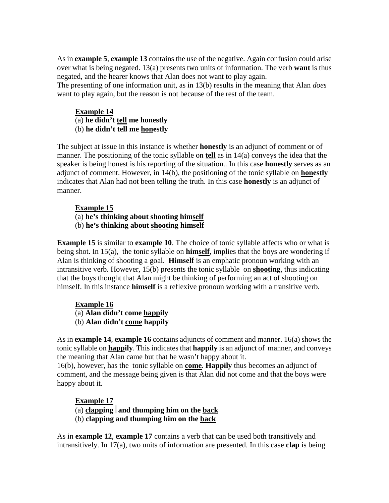As in **example 5**, **example 13** contains the use of the negative. Again confusion could arise over what is being negated. 13(a) presents two units of information. The verb **want** is thus negated, and the hearer knows that Alan does not want to play again.

The presenting of one information unit, as in 13(b) results in the meaning that Alan *does* want to play again, but the reason is not because of the rest of the team.

## **Example 14** (a) **he didn't tell me honestly** (b) **he didn't tell me honestly**

The subject at issue in this instance is whether **honestly** is an adjunct of comment or of manner. The positioning of the tonic syllable on **tell** as in 14(a) conveys the idea that the speaker is being honest is his reporting of the situation.. In this case **honestly** serves as an adjunct of comment. However, in 14(b), the positioning of the tonic syllable on **honestly** indicates that Alan had not been telling the truth. In this case **honestly** is an adjunct of manner.

## **Example 15**

(a) **he's thinking about shooting himself** (b) **he's thinking about shooting himself**

**Example 15** is similar to **example 10**. The choice of tonic syllable affects who or what is being shot. In 15(a), the tonic syllable on **himself**, implies that the boys are wondering if Alan is thinking of shooting a goal. **Himself** is an emphatic pronoun working with an intransitive verb. However, 15(b) presents the tonic syllable on **shooting**, thus indicating that the boys thought that Alan might be thinking of performing an act of shooting on himself. In this instance **himself** is a reflexive pronoun working with a transitive verb.

## **Example 16**

(a) **Alan didn't come happily** (b) **Alan didn't come happily**

As in **example 14**, **example 16** contains adjuncts of comment and manner. 16(a) shows the tonic syllable on **happily**. This indicates that **happily** is an adjunct of manner, and conveys the meaning that Alan came but that he wasn't happy about it.

16(b), however, has the tonic syllable on **come**. **Happily** thus becomes an adjunct of comment, and the message being given is that Alan did not come and that the boys were happy about it.

## **Example 17**

- $(a)$  **clapping** and **thumping** him on the back
- (b) **clapping and thumping him on the back**

As in **example 12**, **example 17** contains a verb that can be used both transitively and intransitively. In 17(a), two units of information are presented. In this case **clap** is being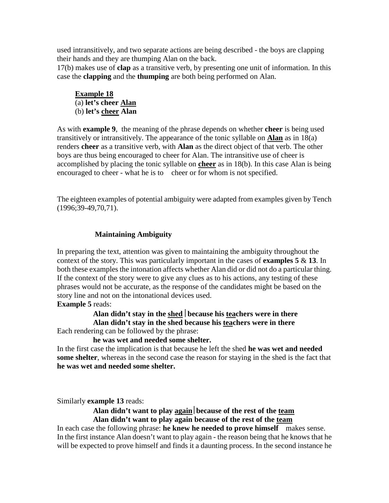used intransitively, and two separate actions are being described - the boys are clapping their hands and they are thumping Alan on the back.

17(b) makes use of **clap** as a transitive verb, by presenting one unit of information. In this case the **clapping** and the **thumping** are both being performed on Alan.

## **Example 18** (a) **let's cheer Alan** (b) **let's cheer Alan**

As with **example 9**, the meaning of the phrase depends on whether **cheer** is being used transitively or intransitively. The appearance of the tonic syllable on **Alan** as in 18(a) renders **cheer** as a transitive verb, with **Alan** as the direct object of that verb. The other boys are thus being encouraged to cheer for Alan. The intransitive use of cheer is accomplished by placing the tonic syllable on **cheer** as in 18(b). In this case Alan is being encouraged to cheer - what he is to cheer or for whom is not specified.

The eighteen examples of potential ambiguity were adapted from examples given by Tench (1996;39-49,70,71).

## **Maintaining Ambiguity**

In preparing the text, attention was given to maintaining the ambiguity throughout the context of the story. This was particularly important in the cases of **examples 5** & **13**. In both these examples the intonation affects whether Alan did or did not do a particular thing. If the context of the story were to give any clues as to his actions, any testing of these phrases would not be accurate, as the response of the candidates might be based on the story line and not on the intonational devices used.

## **Example 5** reads:

# **Alan didn't stay in the shed because his teachers were in there Alan didn't stay in the shed because his teachers were in there**

Each rendering can be followed by the phrase:

## **he was wet and needed some shelter.**

In the first case the implication is that because he left the shed **he was wet and needed some shelter**, whereas in the second case the reason for staying in the shed is the fact that **he was wet and needed some shelter.**

Similarly **example 13** reads:

## **Alan didn't want to play againbecause of the rest of the team Alan didn't want to play again because of the rest of the team**

In each case the following phrase: **he knew he needed to prove himself** makes sense. In the first instance Alan doesn't want to play again - the reason being that he knows that he will be expected to prove himself and finds it a daunting process. In the second instance he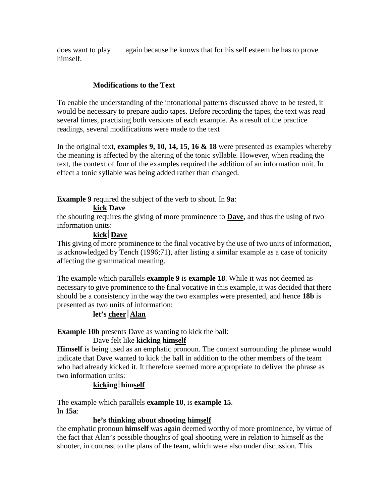does want to play again because he knows that for his self esteem he has to prove himself.

## **Modifications to the Text**

To enable the understanding of the intonational patterns discussed above to be tested, it would be necessary to prepare audio tapes. Before recording the tapes, the text was read several times, practising both versions of each example. As a result of the practice readings, several modifications were made to the text

In the original text, **examples 9, 10, 14, 15, 16 & 18** were presented as examples whereby the meaning is affected by the altering of the tonic syllable. However, when reading the text, the context of four of the examples required the addition of an information unit. In effect a tonic syllable was being added rather than changed.

**Example 9** required the subject of the verb to shout. In **9a**:

**kick Dave**

the shouting requires the giving of more prominence to **Dave**, and thus the using of two information units:

# **kickDave**

This giving of more prominence to the final vocative by the use of two units of information, is acknowledged by Tench (1996;71), after listing a similar example as a case of tonicity affecting the grammatical meaning.

The example which parallels **example 9** is **example 18**. While it was not deemed as necessary to give prominence to the final vocative in this example, it was decided that there should be a consistency in the way the two examples were presented, and hence **18b** is presented as two units of information:

# let's cheer<sup></sup> Alan

**Example 10b** presents Dave as wanting to kick the ball:

## Dave felt like **kicking himself**

**Himself** is being used as an emphatic pronoun. The context surrounding the phrase would indicate that Dave wanted to kick the ball in addition to the other members of the team who had already kicked it. It therefore seemed more appropriate to deliver the phrase as two information units:

# **kickinghimself**

The example which parallels **example 10**, is **example 15**. In **15a**:

## **he's thinking about shooting himself**

the emphatic pronoun **himself** was again deemed worthy of more prominence, by virtue of the fact that Alan's possible thoughts of goal shooting were in relation to himself as the shooter, in contrast to the plans of the team, which were also under discussion. This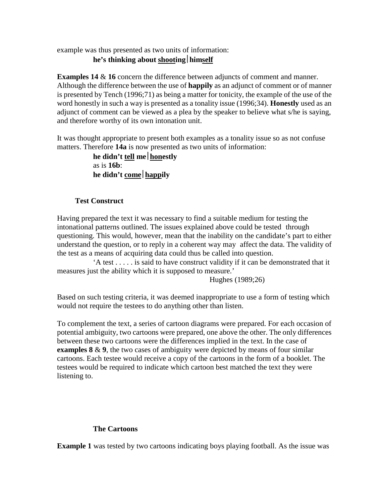example was thus presented as two units of information:

## **he's thinking about shootinghimself**

**Examples 14 & 16** concern the difference between adjuncts of comment and manner. Although the difference between the use of **happily** as an adjunct of comment or of manner is presented by Tench (1996;71) as being a matter for tonicity, the example of the use of the word honestly in such a way is presented as a tonality issue (1996;34). **Honestly** used as an adjunct of comment can be viewed as a plea by the speaker to believe what s/he is saying, and therefore worthy of its own intonation unit.

It was thought appropriate to present both examples as a tonality issue so as not confuse matters. Therefore **14a** is now presented as two units of information:

> **he didn't tell mehonestly** as is **16b**: **he didn't comehappily**

## **Test Construct**

Having prepared the text it was necessary to find a suitable medium for testing the intonational patterns outlined. The issues explained above could be tested through questioning. This would, however, mean that the inability on the candidate's part to either understand the question, or to reply in a coherent way may affect the data. The validity of the test as a means of acquiring data could thus be called into question.

 'A test . . . . . is said to have construct validity if it can be demonstrated that it measures just the ability which it is supposed to measure.'

Hughes (1989;26)

Based on such testing criteria, it was deemed inappropriate to use a form of testing which would not require the testees to do anything other than listen.

To complement the text, a series of cartoon diagrams were prepared. For each occasion of potential ambiguity, two cartoons were prepared, one above the other. The only differences between these two cartoons were the differences implied in the text. In the case of **examples 8** & **9**, the two cases of ambiguity were depicted by means of four similar cartoons. Each testee would receive a copy of the cartoons in the form of a booklet. The testees would be required to indicate which cartoon best matched the text they were listening to.

## **The Cartoons**

**Example 1** was tested by two cartoons indicating boys playing football. As the issue was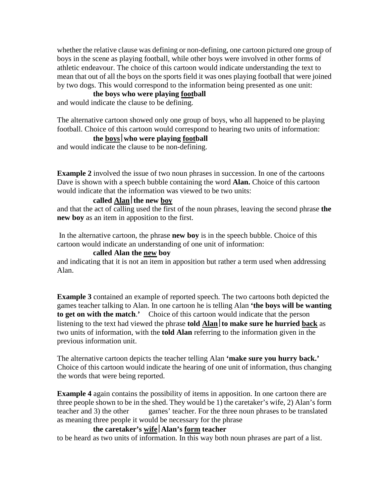whether the relative clause was defining or non-defining, one cartoon pictured one group of boys in the scene as playing football, while other boys were involved in other forms of athletic endeavour. The choice of this cartoon would indicate understanding the text to mean that out of all the boys on the sports field it was ones playing football that were joined by two dogs. This would correspond to the information being presented as one unit:

## **the boys who were playing football**

and would indicate the clause to be defining.

The alternative cartoon showed only one group of boys, who all happened to be playing football. Choice of this cartoon would correspond to hearing two units of information:

## **the boyswho were playing football**

and would indicate the clause to be non-defining.

**Example 2** involved the issue of two noun phrases in succession. In one of the cartoons Dave is shown with a speech bubble containing the word **Alan.** Choice of this cartoon would indicate that the information was viewed to be two units:

## **called Alanthe new boy**

and that the act of calling used the first of the noun phrases, leaving the second phrase **the new boy** as an item in apposition to the first.

In the alternative cartoon, the phrase **new boy** is in the speech bubble. Choice of this cartoon would indicate an understanding of one unit of information:

## **called Alan the new boy**

and indicating that it is not an item in apposition but rather a term used when addressing Alan.

**Example 3** contained an example of reported speech. The two cartoons both depicted the games teacher talking to Alan. In one cartoon he is telling Alan **'the boys will be wanting to get on with the match**.**'** Choice of this cartoon would indicate that the person listening to the text had viewed the phrase **told Alanto make sure he hurried back** as two units of information, with the **told Alan** referring to the information given in the previous information unit.

The alternative cartoon depicts the teacher telling Alan **'make sure you hurry back.'** Choice of this cartoon would indicate the hearing of one unit of information, thus changing the words that were being reported.

**Example 4** again contains the possibility of items in apposition. In one cartoon there are three people shown to be in the shed. They would be 1) the caretaker's wife, 2) Alan's form teacher and 3) the other games' teacher. For the three noun phrases to be translated as meaning three people it would be necessary for the phrase

## **the caretaker's wifeAlan's form teacher**

to be heard as two units of information. In this way both noun phrases are part of a list.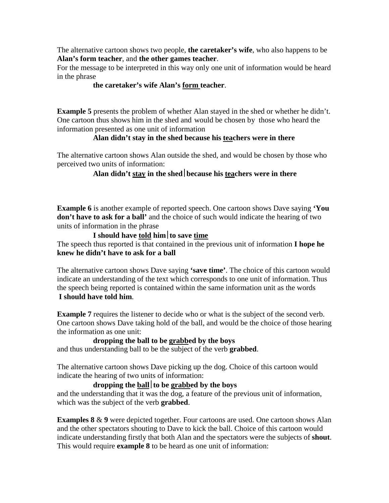The alternative cartoon shows two people, **the caretaker's wife**, who also happens to be **Alan's form teacher**, and **the other games teacher**.

For the message to be interpreted in this way only one unit of information would be heard in the phrase

## **the caretaker's wife Alan's form teacher**.

**Example 5** presents the problem of whether Alan stayed in the shed or whether he didn't. One cartoon thus shows him in the shed and would be chosen by those who heard the information presented as one unit of information

## **Alan didn't stay in the shed because his teachers were in there**

The alternative cartoon shows Alan outside the shed, and would be chosen by those who perceived two units of information:

## Alan didn't stay in the shed because his teachers were in there

**Example 6** is another example of reported speech. One cartoon shows Dave saying **'You don't have to ask for a ball'** and the choice of such would indicate the hearing of two units of information in the phrase

## **I should have told himto save time**

The speech thus reported is that contained in the previous unit of information **I hope he knew he didn't have to ask for a ball**

The alternative cartoon shows Dave saying **'save time'**. The choice of this cartoon would indicate an understanding of the text which corresponds to one unit of information. Thus the speech being reported is contained within the same information unit as the words **I should have told him**.

**Example 7** requires the listener to decide who or what is the subject of the second verb. One cartoon shows Dave taking hold of the ball, and would be the choice of those hearing the information as one unit:

## **dropping the ball to be grabbed by the boys**

and thus understanding ball to be the subject of the verb **grabbed**.

The alternative cartoon shows Dave picking up the dog. Choice of this cartoon would indicate the hearing of two units of information:

## **dropping the ballto be grabbed by the boys**

and the understanding that it was the dog, a feature of the previous unit of information, which was the subject of the verb **grabbed**.

**Examples 8 & 9** were depicted together. Four cartoons are used. One cartoon shows Alan and the other spectators shouting to Dave to kick the ball. Choice of this cartoon would indicate understanding firstly that both Alan and the spectators were the subjects of **shout**. This would require **example 8** to be heard as one unit of information: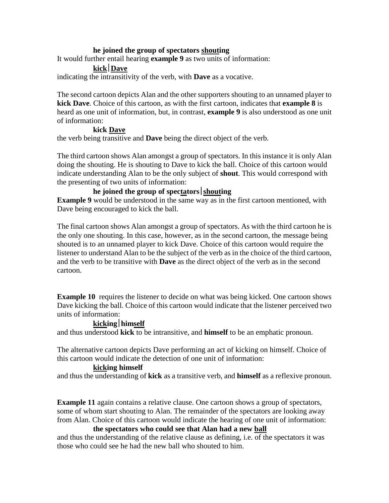## **he joined the group of spectators shouting**

It would further entail hearing **example 9** as two units of information:

## **kickDave**

indicating the intransitivity of the verb, with **Dave** as a vocative.

The second cartoon depicts Alan and the other supporters shouting to an unnamed player to **kick Dave**. Choice of this cartoon, as with the first cartoon, indicates that **example 8** is heard as one unit of information, but, in contrast, **example 9** is also understood as one unit of information:

## **kick Dave**

the verb being transitive and **Dave** being the direct object of the verb.

The third cartoon shows Alan amongst a group of spectators. In this instance it is only Alan doing the shouting. He is shouting to Dave to kick the ball. Choice of this cartoon would indicate understanding Alan to be the only subject of **shout**. This would correspond with the presenting of two units of information:

## **he joined the group of spectators** shouting

**Example 9** would be understood in the same way as in the first cartoon mentioned, with Dave being encouraged to kick the ball.

The final cartoon shows Alan amongst a group of spectators. As with the third cartoon he is the only one shouting. In this case, however, as in the second cartoon, the message being shouted is to an unnamed player to kick Dave. Choice of this cartoon would require the listener to understand Alan to be the subject of the verb as in the choice of the third cartoon, and the verb to be transitive with **Dave** as the direct object of the verb as in the second cartoon.

**Example 10** requires the listener to decide on what was being kicked. One cartoon shows Dave kicking the ball. Choice of this cartoon would indicate that the listener perceived two units of information:

## **kickinghimself**

and thus understood **kick** to be intransitive, and **himself** to be an emphatic pronoun.

The alternative cartoon depicts Dave performing an act of kicking on himself. Choice of this cartoon would indicate the detection of one unit of information:

## **kicking himself**

and thus the understanding of **kick** as a transitive verb, and **himself** as a reflexive pronoun.

**Example 11** again contains a relative clause. One cartoon shows a group of spectators, some of whom start shouting to Alan. The remainder of the spectators are looking away from Alan. Choice of this cartoon would indicate the hearing of one unit of information:

## **the spectators who could see that Alan had a new ball**

and thus the understanding of the relative clause as defining, i.e. of the spectators it was those who could see he had the new ball who shouted to him.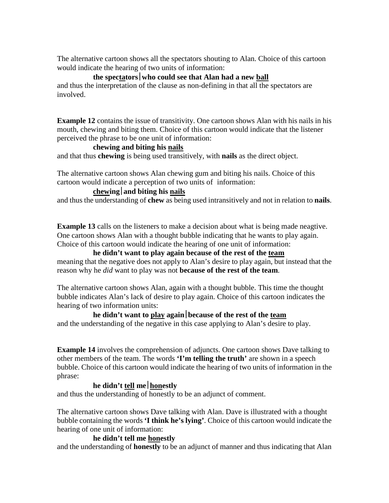The alternative cartoon shows all the spectators shouting to Alan. Choice of this cartoon would indicate the hearing of two units of information:

## **the spectatorswho could see that Alan had a new ball**

and thus the interpretation of the clause as non-defining in that all the spectators are involved.

**Example 12** contains the issue of transitivity. One cartoon shows Alan with his nails in his mouth, chewing and biting them. Choice of this cartoon would indicate that the listener perceived the phrase to be one unit of information:

## **chewing and biting his nails**

and that thus **chewing** is being used transitively, with **nails** as the direct object.

The alternative cartoon shows Alan chewing gum and biting his nails. Choice of this cartoon would indicate a perception of two units of information:

## **chewingand biting his nails**

and thus the understanding of **chew** as being used intransitively and not in relation to **nails**.

**Example 13** calls on the listeners to make a decision about what is being made neagtive. One cartoon shows Alan with a thought bubble indicating that he wants to play again. Choice of this cartoon would indicate the hearing of one unit of information:

# **he didn't want to play again because of the rest of the team**

meaning that the negative does not apply to Alan's desire to play again, but instead that the reason why he *did* want to play was not **because of the rest of the team**.

The alternative cartoon shows Alan, again with a thought bubble. This time the thought bubble indicates Alan's lack of desire to play again. Choice of this cartoon indicates the hearing of two information units:

# **he didn't want to play againbecause of the rest of the team**

and the understanding of the negative in this case applying to Alan's desire to play.

**Example 14** involves the comprehension of adjuncts. One cartoon shows Dave talking to other members of the team. The words **'I'm telling the truth'** are shown in a speech bubble. Choice of this cartoon would indicate the hearing of two units of information in the phrase:

# **he didn't tell mehonestly**

and thus the understanding of honestly to be an adjunct of comment.

The alternative cartoon shows Dave talking with Alan. Dave is illustrated with a thought bubble containing the words **'I think he's lying'**. Choice of this cartoon would indicate the hearing of one unit of information:

## **he didn't tell me honestly**

and the understanding of **honestly** to be an adjunct of manner and thus indicating that Alan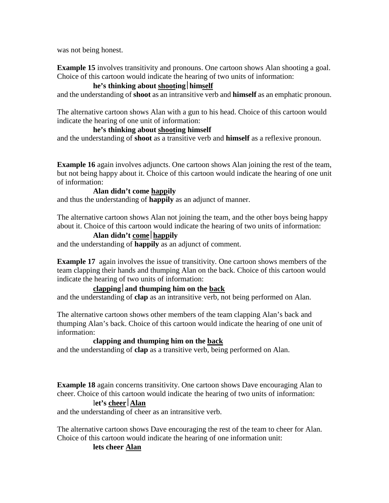was not being honest.

**Example 15** involves transitivity and pronouns. One cartoon shows Alan shooting a goal. Choice of this cartoon would indicate the hearing of two units of information:

## **he's thinking about shootinghimself**

and the understanding of **shoot** as an intransitive verb and **himself** as an emphatic pronoun.

The alternative cartoon shows Alan with a gun to his head. Choice of this cartoon would indicate the hearing of one unit of information:

## **he's thinking about shooting himself**

and the understanding of **shoot** as a transitive verb and **himself** as a reflexive pronoun.

**Example 16** again involves adjuncts. One cartoon shows Alan joining the rest of the team, but not being happy about it. Choice of this cartoon would indicate the hearing of one unit of information:

## **Alan didn't come happily**

and thus the understanding of **happily** as an adjunct of manner.

The alternative cartoon shows Alan not joining the team, and the other boys being happy about it. Choice of this cartoon would indicate the hearing of two units of information:

## **Alan didn't comehappily**

and the understanding of **happily** as an adjunct of comment.

**Example 17** again involves the issue of transitivity. One cartoon shows members of the team clapping their hands and thumping Alan on the back. Choice of this cartoon would indicate the hearing of two units of information:

## clapping and thumping him on the back

and the understanding of **clap** as an intransitive verb, not being performed on Alan.

The alternative cartoon shows other members of the team clapping Alan's back and thumping Alan's back. Choice of this cartoon would indicate the hearing of one unit of information:

## **clapping and thumping him on the back**

and the understanding of **clap** as a transitive verb, being performed on Alan.

**Example 18** again concerns transitivity. One cartoon shows Dave encouraging Alan to cheer. Choice of this cartoon would indicate the hearing of two units of information:

## l**et's cheerAlan**

and the understanding of cheer as an intransitive verb.

The alternative cartoon shows Dave encouraging the rest of the team to cheer for Alan. Choice of this cartoon would indicate the hearing of one information unit:

## **lets cheer Alan**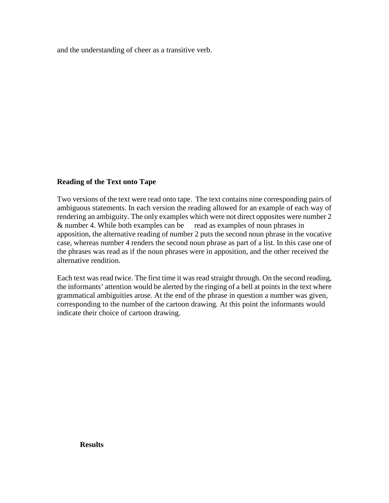and the understanding of cheer as a transitive verb.

## **Reading of the Text onto Tape**

Two versions of the text were read onto tape. The text contains nine corresponding pairs of ambiguous statements. In each version the reading allowed for an example of each way of rendering an ambiguity. The only examples which were not direct opposites were number 2 & number 4. While both examples can be read as examples of noun phrases in apposition, the alternative reading of number 2 puts the second noun phrase in the vocative case, whereas number 4 renders the second noun phrase as part of a list. In this case one of the phrases was read as if the noun phrases were in apposition, and the other received the alternative rendition.

Each text was read twice. The first time it was read straight through. On the second reading, the informants' attention would be alerted by the ringing of a bell at points in the text where grammatical ambiguities arose. At the end of the phrase in question a number was given, corresponding to the number of the cartoon drawing. At this point the informants would indicate their choice of cartoon drawing.

#### **Results**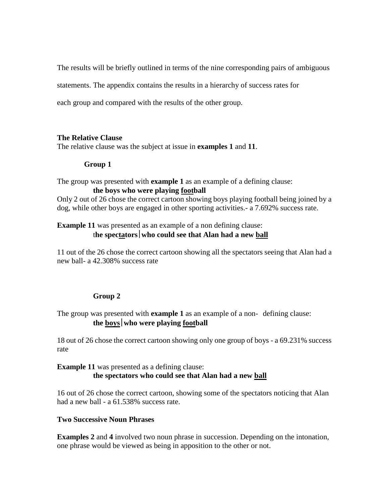The results will be briefly outlined in terms of the nine corresponding pairs of ambiguous

statements. The appendix contains the results in a hierarchy of success rates for

each group and compared with the results of the other group.

## **The Relative Clause**

The relative clause was the subject at issue in **examples 1** and **11**.

## **Group 1**

## The group was presented with **example 1** as an example of a defining clause: **the boys who were playing football**

Only 2 out of 26 chose the correct cartoon showing boys playing football being joined by a dog, while other boys are engaged in other sporting activities.- a 7.692% success rate.

# **Example 11** was presented as an example of a non defining clause:

# t**he spectatorswho could see that Alan had a new ball**

11 out of the 26 chose the correct cartoon showing all the spectators seeing that Alan had a new ball- a 42.308% success rate

## **Group 2**

## The group was presented with **example 1** as an example of a non- defining clause: **the boyswho were playing football**

18 out of 26 chose the correct cartoon showing only one group of boys - a 69.231% success rate

## **Example 11** was presented as a defining clause: **the spectators who could see that Alan had a new ball**

16 out of 26 chose the correct cartoon, showing some of the spectators noticing that Alan had a new ball - a 61.538% success rate.

## **Two Successive Noun Phrases**

**Examples 2** and **4** involved two noun phrase in succession. Depending on the intonation, one phrase would be viewed as being in apposition to the other or not.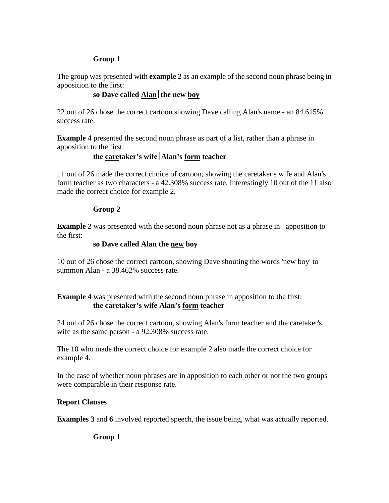## **Group 1**

The group was presented with **example 2** as an example of the second noun phrase being in apposition to the first:

## **so Dave called Alan** the new boy

22 out of 26 chose the correct cartoon showing Dave calling Alan's name - an 84.615% success rate.

**Example 4** presented the second noun phrase as part of a list, rather than a phrase in apposition to the first:

# **the caretaker's wifeAlan's form teacher**

11 out of 26 made the correct choice of cartoon, showing the caretaker's wife and Alan's form teacher as two characters - a 42.308% success rate. Interestingly 10 out of the 11 also made the correct choice for example 2.

## **Group 2**

**Example 2** was presented with the second noun phrase not as a phrase in apposition to the first:

## **so Dave called Alan the new boy**

10 out of 26 chose the correct cartoon, showing Dave shouting the words 'new boy' to summon Alan - a 38.462% success rate.

## **Example 4** was presented with the second noun phrase in apposition to the first: **the caretaker's wife Alan's form teacher**

24 out of 26 chose the correct cartoon, showing Alan's form teacher and the caretaker's wife as the same person - a 92.308% success rate.

The 10 who made the correct choice for example 2 also made the correct choice for example 4.

In the case of whether noun phrases are in apposition to each other or not the two groups were comparable in their response rate.

## **Report Clauses**

**Examples 3** and **6** involved reported speech, the issue being, what was actually reported.

**Group 1**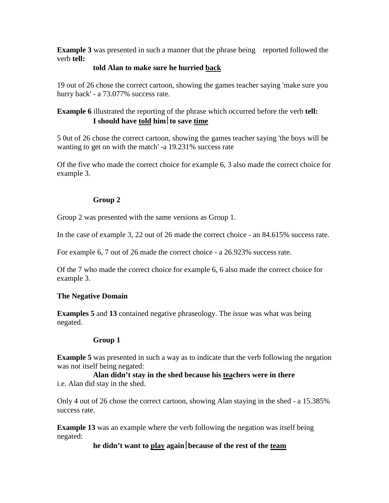**Example 3** was presented in such a manner that the phrase being reported followed the verb **tell:**

## **told Alan to make sure he hurried back**

19 out of 26 chose the correct cartoon, showing the games teacher saying 'make sure you hurry back' - a 73.077% success rate.

# **Example 6** illustrated the reporting of the phrase which occurred before the verb **tell: I should have told himto save time**

5 0ut of 26 chose the correct cartoon, showing the games teacher saying 'the boys will be wanting to get on with the match' -a 19.231% success rate

Of the five who made the correct choice for example 6, 3 also made the correct choice for example 3.

## **Group 2**

Group 2 was presented with the same versions as Group 1.

In the case of example 3, 22 out of 26 made the correct choice - an 84.615% success rate.

For example 6, 7 out of 26 made the correct choice - a 26.923% success rate.

Of the 7 who made the correct choice for example 6, 6 also made the correct choice for example 3.

## **The Negative Domain**

**Examples 5** and **13** contained negative phraseology. The issue was what was being negated.

## **Group 1**

**Example 5** was presented in such a way as to indicate that the verb following the negation was not itself being negated:

**Alan didn't stay in the shed because his teachers were in there** i.e. Alan did stay in the shed.

Only 4 out of 26 chose the correct cartoon, showing Alan staying in the shed - a 15.385% success rate.

**Example 13** was an example where the verb following the negation was itself being negated:

**he didn't want to play againbecause of the rest of the team**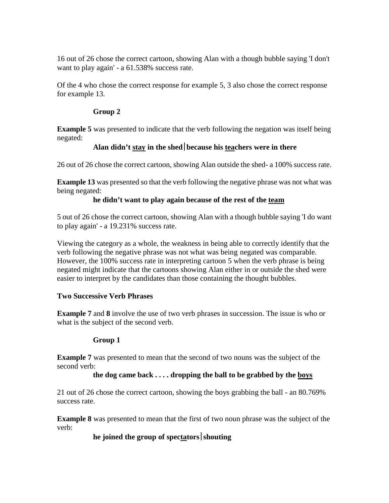16 out of 26 chose the correct cartoon, showing Alan with a though bubble saying 'I don't want to play again' - a 61.538% success rate.

Of the 4 who chose the correct response for example 5, 3 also chose the correct response for example 13.

## **Group 2**

**Example 5** was presented to indicate that the verb following the negation was itself being negated:

# **Alan didn't stay in the shedbecause his teachers were in there**

26 out of 26 chose the correct cartoon, showing Alan outside the shed- a 100% success rate.

**Example 13** was presented so that the verb following the negative phrase was not what was being negated:

## **he didn't want to play again because of the rest of the team**

5 out of 26 chose the correct cartoon, showing Alan with a though bubble saying 'I do want to play again' - a 19.231% success rate.

Viewing the category as a whole, the weakness in being able to correctly identify that the verb following the negative phrase was not what was being negated was comparable. However, the 100% success rate in interpreting cartoon 5 when the verb phrase is being negated might indicate that the cartoons showing Alan either in or outside the shed were easier to interpret by the candidates than those containing the thought bubbles.

## **Two Successive Verb Phrases**

**Example 7** and **8** involve the use of two verb phrases in succession. The issue is who or what is the subject of the second verb.

## **Group 1**

**Example 7** was presented to mean that the second of two nouns was the subject of the second verb:

## **the dog came back . . . . dropping the ball to be grabbed by the boys**

21 out of 26 chose the correct cartoon, showing the boys grabbing the ball - an 80.769% success rate.

**Example 8** was presented to mean that the first of two noun phrase was the subject of the verb:

# **he joined the group of spectators** shouting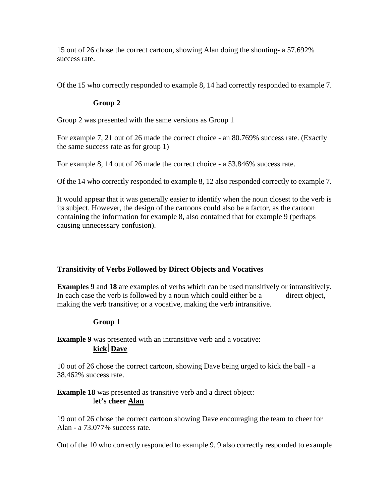15 out of 26 chose the correct cartoon, showing Alan doing the shouting- a 57.692% success rate.

Of the 15 who correctly responded to example 8, 14 had correctly responded to example 7.

## **Group 2**

Group 2 was presented with the same versions as Group 1

For example 7, 21 out of 26 made the correct choice - an 80.769% success rate. (Exactly the same success rate as for group 1)

For example 8, 14 out of 26 made the correct choice - a 53.846% success rate.

Of the 14 who correctly responded to example 8, 12 also responded correctly to example 7.

It would appear that it was generally easier to identify when the noun closest to the verb is its subject. However, the design of the cartoons could also be a factor, as the cartoon containing the information for example 8, also contained that for example 9 (perhaps causing unnecessary confusion).

# **Transitivity of Verbs Followed by Direct Objects and Vocatives**

**Examples 9** and 18 are examples of verbs which can be used transitively or intransitively. In each case the verb is followed by a noun which could either be a direct object, making the verb transitive; or a vocative, making the verb intransitive.

# **Group 1**

**Example 9** was presented with an intransitive verb and a vocative: **kickDave**

10 out of 26 chose the correct cartoon, showing Dave being urged to kick the ball - a 38.462% success rate.

# **Example 18** was presented as transitive verb and a direct object: l**et's cheer Alan**

19 out of 26 chose the correct cartoon showing Dave encouraging the team to cheer for Alan - a 73.077% success rate.

Out of the 10 who correctly responded to example 9, 9 also correctly responded to example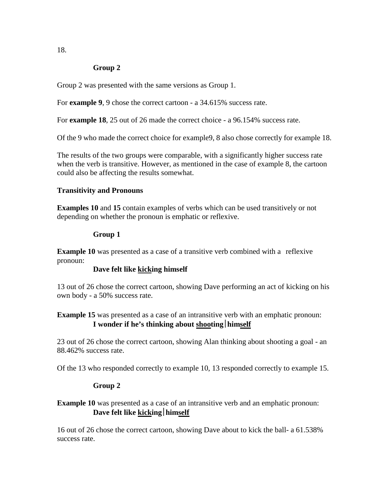## **Group 2**

Group 2 was presented with the same versions as Group 1.

For **example 9**, 9 chose the correct cartoon - a 34.615% success rate.

For **example 18**, 25 out of 26 made the correct choice - a 96.154% success rate.

Of the 9 who made the correct choice for example9, 8 also chose correctly for example 18.

The results of the two groups were comparable, with a significantly higher success rate when the verb is transitive. However, as mentioned in the case of example 8, the cartoon could also be affecting the results somewhat.

## **Transitivity and Pronouns**

**Examples 10** and **15** contain examples of verbs which can be used transitively or not depending on whether the pronoun is emphatic or reflexive.

## **Group 1**

**Example 10** was presented as a case of a transitive verb combined with a reflexive pronoun:

## **Dave felt like kicking himself**

13 out of 26 chose the correct cartoon, showing Dave performing an act of kicking on his own body - a 50% success rate.

## **Example 15** was presented as a case of an intransitive verb with an emphatic pronoun: **I wonder if he's thinking about shootinghimself**

23 out of 26 chose the correct cartoon, showing Alan thinking about shooting a goal - an 88.462% success rate.

Of the 13 who responded correctly to example 10, 13 responded correctly to example 15.

## **Group 2**

## **Example 10** was presented as a case of an intransitive verb and an emphatic pronoun: **Dave felt like kickinghimself**

16 out of 26 chose the correct cartoon, showing Dave about to kick the ball- a 61.538% success rate.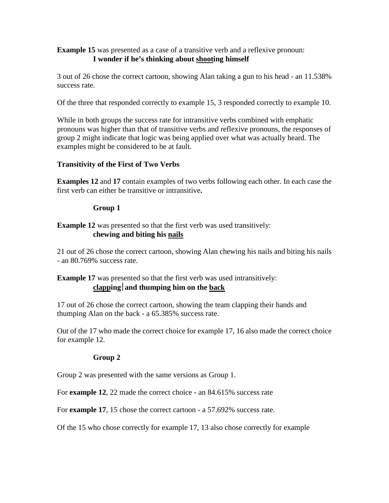## **Example 15** was presented as a case of a transitive verb and a reflexive pronoun: **I wonder if he's thinking about shooting himself**

3 out of 26 chose the correct cartoon, showing Alan taking a gun to his head - an 11.538% success rate.

Of the three that responded correctly to example 15, 3 responded correctly to example 10.

While in both groups the success rate for intransitive verbs combined with emphatic pronouns was higher than that of transitive verbs and reflexive pronouns, the responses of group 2 might indicate that logic was being applied over what was actually heard. The examples might be considered to be at fault.

## **Transitivity of the First of Two Verbs**

**Examples 12** and **17** contain examples of two verbs following each other. In each case the first verb can either be transitive or intransitive**.**

## **Group 1**

# **Example 12** was presented so that the first verb was used transitively: **chewing and biting his nails**

21 out of 26 chose the correct cartoon, showing Alan chewing his nails and biting his nails - an 80.769% success rate.

# **Example 17** was presented so that the first verb was used intransitively: **clappingand thumping him on the back**

17 out of 26 chose the correct cartoon, showing the team clapping their hands and thumping Alan on the back - a 65.385% success rate.

Out of the 17 who made the correct choice for example 17, 16 also made the correct choice for example 12.

## **Group 2**

Group 2 was presented with the same versions as Group 1.

For **example 12**, 22 made the correct choice - an 84.615% success rate

For **example 17**, 15 chose the correct cartoon - a 57.692% success rate.

Of the 15 who chose correctly for example 17, 13 also chose correctly for example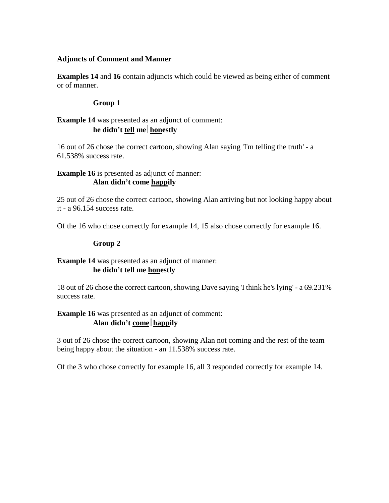## **Adjuncts of Comment and Manner**

**Examples 14** and **16** contain adjuncts which could be viewed as being either of comment or of manner.

## **Group 1**

## **Example 14** was presented as an adjunct of comment: **he didn't tell mehonestly**

16 out of 26 chose the correct cartoon, showing Alan saying 'I'm telling the truth' - a 61.538% success rate.

## **Example 16** is presented as adjunct of manner: **Alan didn't come happily**

25 out of 26 chose the correct cartoon, showing Alan arriving but not looking happy about it - a 96.154 success rate.

Of the 16 who chose correctly for example 14, 15 also chose correctly for example 16.

## **Group 2**

## **Example 14** was presented as an adjunct of manner: **he didn't tell me honestly**

18 out of 26 chose the correct cartoon, showing Dave saying 'I think he's lying' - a 69.231% success rate.

## **Example 16** was presented as an adjunct of comment: **Alan didn't comehappily**

3 out of 26 chose the correct cartoon, showing Alan not coming and the rest of the team being happy about the situation - an 11.538% success rate.

Of the 3 who chose correctly for example 16, all 3 responded correctly for example 14.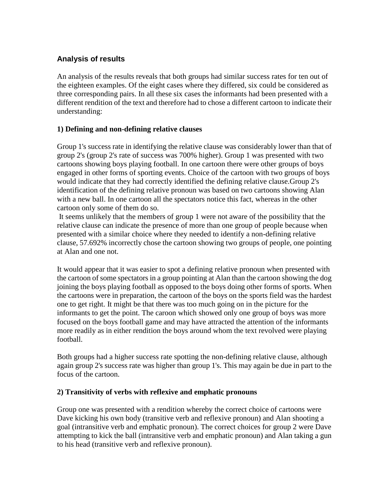# **Analysis of results**

An analysis of the results reveals that both groups had similar success rates for ten out of the eighteen examples. Of the eight cases where they differed, six could be considered as three corresponding pairs. In all these six cases the informants had been presented with a different rendition of the text and therefore had to chose a different cartoon to indicate their understanding:

## **1) Defining and non-defining relative clauses**

Group 1's success rate in identifying the relative clause was considerably lower than that of group 2's (group 2's rate of success was 700% higher). Group 1 was presented with two cartoons showing boys playing football. In one cartoon there were other groups of boys engaged in other forms of sporting events. Choice of the cartoon with two groups of boys would indicate that they had correctly identified the defining relative clause.Group 2's identification of the defining relative pronoun was based on two cartoons showing Alan with a new ball. In one cartoon all the spectators notice this fact, whereas in the other cartoon only some of them do so.

It seems unlikely that the members of group 1 were not aware of the possibility that the relative clause can indicate the presence of more than one group of people because when presented with a similar choice where they needed to identify a non-defining relative clause, 57.692% incorrectly chose the cartoon showing two groups of people, one pointing at Alan and one not.

It would appear that it was easier to spot a defining relative pronoun when presented with the cartoon of some spectators in a group pointing at Alan than the cartoon showing the dog joining the boys playing football as opposed to the boys doing other forms of sports. When the cartoons were in preparation, the cartoon of the boys on the sports field was the hardest one to get right. It might be that there was too much going on in the picture for the informants to get the point. The caroon which showed only one group of boys was more focused on the boys football game and may have attracted the attention of the informants more readily as in either rendition the boys around whom the text revolved were playing football.

Both groups had a higher success rate spotting the non-defining relative clause, although again group 2's success rate was higher than group 1's. This may again be due in part to the focus of the cartoon.

## **2) Transitivity of verbs with reflexive and emphatic pronouns**

Group one was presented with a rendition whereby the correct choice of cartoons were Dave kicking his own body (transitive verb and reflexive pronoun) and Alan shooting a goal (intransitive verb and emphatic pronoun). The correct choices for group 2 were Dave attempting to kick the ball (intransitive verb and emphatic pronoun) and Alan taking a gun to his head (transitive verb and reflexive pronoun).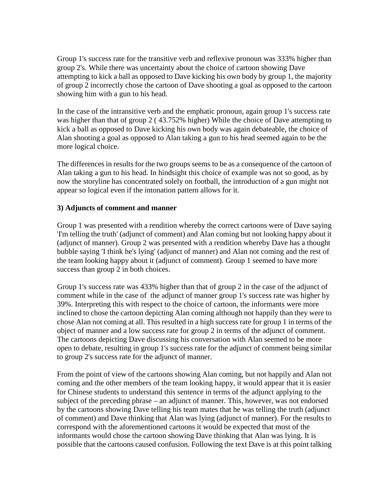Group 1's success rate for the transitive verb and reflexive pronoun was 333% higher than group 2's. While there was uncertainty about the choice of cartoon showing Dave attempting to kick a ball as opposed to Dave kicking his own body by group 1, the majority of group 2 incorrectly chose the cartoon of Dave shooting a goal as opposed to the cartoon showing him with a gun to his head.

In the case of the intransitive verb and the emphatic pronoun, again group 1's success rate was higher than that of group 2 ( 43.752% higher) While the choice of Dave attempting to kick a ball as opposed to Dave kicking his own body was again debateable, the choice of Alan shooting a goal as opposed to Alan taking a gun to his head seemed again to be the more logical choice.

The differences in results for the two groups seems to be as a consequence of the cartoon of Alan taking a gun to his head. In hindsight this choice of example was not so good, as by now the storyline has concentrated solely on football, the introduction of a gun might not appear so logical even if the intonation pattern allows for it.

## **3) Adjuncts of comment and manner**

Group 1 was presented with a rendition whereby the correct cartoons were of Dave saying 'I'm telling the truth' (adjunct of comment) and Alan coming but not looking happy about it (adjunct of manner). Group 2 was presented with a rendition whereby Dave has a thought bubble saying 'I think he's lying' (adjunct of manner) and Alan not coming and the rest of the team looking happy about it (adjunct of comment). Group 1 seemed to have more success than group 2 in both choices.

Group 1's success rate was 433% higher than that of group 2 in the case of the adjunct of comment while in the case of the adjunct of manner group 1's success rate was higher by 39%. Interpreting this with respect to the choice of cartoon, the informants were more inclined to chose the cartoon depicting Alan coming although not happily than they were to chose Alan not coming at all. This resulted in a high success rate for group 1 in terms of the object of manner and a low success rate for group 2 in terms of the adjunct of comment. The cartoons depicting Dave discussing his conversation with Alan seemed to be more open to debate, resulting in group 1's success rate for the adjunct of comment being similar to group 2's success rate for the adjunct of manner.

From the point of view of the cartoons showing Alan coming, but not happily and Alan not coming and the other members of the team looking happy, it would appear that it is easier for Chinese students to understand this sentence in terms of the adjunct applying to the subject of the preceding phrase – an adjunct of manner. This, however, was not endorsed by the cartoons showing Dave telling his team mates that he was telling the truth (adjunct of comment) and Dave thinking that Alan was lying (adjunct of manner). For the results to correspond with the aforementioned cartoons it would be expected that most of the informants would chose the cartoon showing Dave thinking that Alan was lying. It is possible that the cartoons caused confusion. Following the text Dave is at this point talking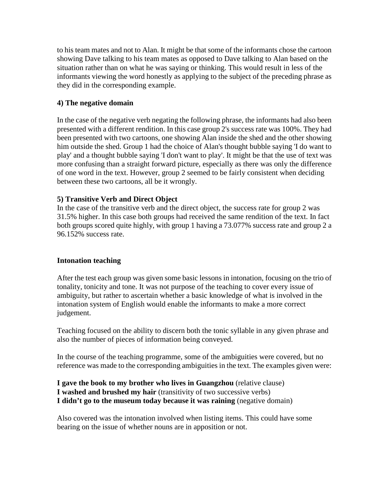to his team mates and not to Alan. It might be that some of the informants chose the cartoon showing Dave talking to his team mates as opposed to Dave talking to Alan based on the situation rather than on what he was saying or thinking. This would result in less of the informants viewing the word honestly as applying to the subject of the preceding phrase as they did in the corresponding example.

## **4) The negative domain**

In the case of the negative verb negating the following phrase, the informants had also been presented with a different rendition. In this case group 2's success rate was 100%. They had been presented with two cartoons, one showing Alan inside the shed and the other showing him outside the shed. Group 1 had the choice of Alan's thought bubble saying 'I do want to play' and a thought bubble saying 'I don't want to play'. It might be that the use of text was more confusing than a straight forward picture, especially as there was only the difference of one word in the text. However, group 2 seemed to be fairly consistent when deciding between these two cartoons, all be it wrongly.

## **5) Transitive Verb and Direct Object**

In the case of the transitive verb and the direct object, the success rate for group 2 was 31.5% higher. In this case both groups had received the same rendition of the text. In fact both groups scored quite highly, with group 1 having a 73.077% success rate and group 2 a 96.152% success rate.

## **Intonation teaching**

After the test each group was given some basic lessons in intonation, focusing on the trio of tonality, tonicity and tone. It was not purpose of the teaching to cover every issue of ambiguity, but rather to ascertain whether a basic knowledge of what is involved in the intonation system of English would enable the informants to make a more correct judgement.

Teaching focused on the ability to discern both the tonic syllable in any given phrase and also the number of pieces of information being conveyed.

In the course of the teaching programme, some of the ambiguities were covered, but no reference was made to the corresponding ambiguities in the text. The examples given were:

## **I gave the book to my brother who lives in Guangzhou** (relative clause) **I washed and brushed my hair** (transitivity of two successive verbs) **I didn't go to the museum today because it was raining** (negative domain)

Also covered was the intonation involved when listing items. This could have some bearing on the issue of whether nouns are in apposition or not.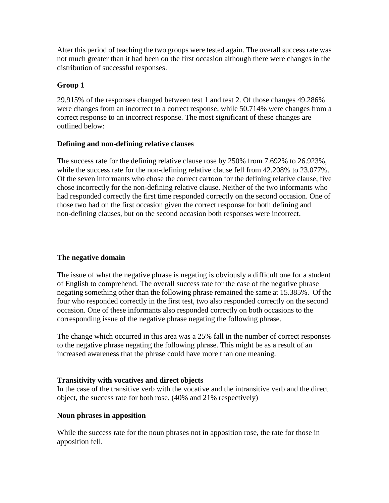After this period of teaching the two groups were tested again. The overall success rate was not much greater than it had been on the first occasion although there were changes in the distribution of successful responses.

## **Group 1**

29.915% of the responses changed between test 1 and test 2. Of those changes 49.286% were changes from an incorrect to a correct response, while 50.714% were changes from a correct response to an incorrect response. The most significant of these changes are outlined below:

## **Defining and non-defining relative clauses**

The success rate for the defining relative clause rose by 250% from 7.692% to 26.923%, while the success rate for the non-defining relative clause fell from 42.208% to 23.077%. Of the seven informants who chose the correct cartoon for the defining relative clause, five chose incorrectly for the non-defining relative clause. Neither of the two informants who had responded correctly the first time responded correctly on the second occasion. One of those two had on the first occasion given the correct response for both defining and non-defining clauses, but on the second occasion both responses were incorrect.

## **The negative domain**

The issue of what the negative phrase is negating is obviously a difficult one for a student of English to comprehend. The overall success rate for the case of the negative phrase negating something other than the following phrase remained the same at 15.385%. Of the four who responded correctly in the first test, two also responded correctly on the second occasion. One of these informants also responded correctly on both occasions to the corresponding issue of the negative phrase negating the following phrase.

The change which occurred in this area was a 25% fall in the number of correct responses to the negative phrase negating the following phrase. This might be as a result of an increased awareness that the phrase could have more than one meaning.

## **Transitivity with vocatives and direct objects**

In the case of the transitive verb with the vocative and the intransitive verb and the direct object, the success rate for both rose. (40% and 21% respectively)

## **Noun phrases in apposition**

While the success rate for the noun phrases not in apposition rose, the rate for those in apposition fell.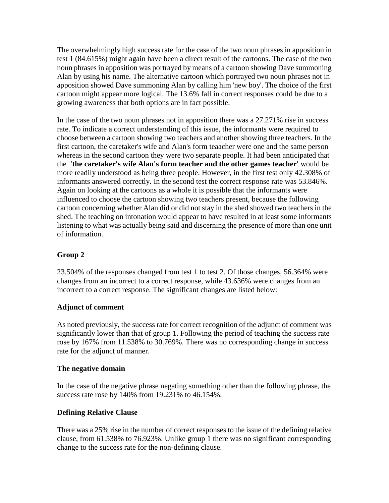The overwhelmingly high success rate for the case of the two noun phrases in apposition in test 1 (84.615%) might again have been a direct result of the cartoons. The case of the two noun phrases in apposition was portrayed by means of a cartoon showing Dave summoning Alan by using his name. The alternative cartoon which portrayed two noun phrases not in apposition showed Dave summoning Alan by calling him 'new boy'. The choice of the first cartoon might appear more logical. The 13.6% fall in correct responses could be due to a growing awareness that both options are in fact possible.

In the case of the two noun phrases not in apposition there was a 27.271% rise in success rate. To indicate a correct understanding of this issue, the informants were required to choose between a cartoon showing two teachers and another showing three teachers. In the first cartoon, the caretaker's wife and Alan's form teaacher were one and the same person whereas in the second cartoon they were two separate people. It had been anticipated that the **'the caretaker's wife Alan's form teacher and the other games teacher'** would be more readily understood as being three people. However, in the first test only 42.308% of informants answered correctly. In the second test the correct response rate was 53.846%. Again on looking at the cartoons as a whole it is possible that the informants were influenced to choose the cartoon showing two teachers present, because the following cartoon concerning whether Alan did or did not stay in the shed showed two teachers in the shed. The teaching on intonation would appear to have resulted in at least some informants listening to what was actually being said and discerning the presence of more than one unit of information.

# **Group 2**

23.504% of the responses changed from test 1 to test 2. Of those changes, 56.364% were changes from an incorrect to a correct response, while 43.636% were changes from an incorrect to a correct response. The significant changes are listed below:

## **Adjunct of comment**

As noted previously, the success rate for correct recognition of the adjunct of comment was significantly lower than that of group 1. Following the period of teaching the success rate rose by 167% from 11.538% to 30.769%. There was no corresponding change in success rate for the adjunct of manner.

## **The negative domain**

In the case of the negative phrase negating something other than the following phrase, the success rate rose by 140% from 19.231% to 46.154%.

## **Defining Relative Clause**

There was a 25% rise in the number of correct responses to the issue of the defining relative clause, from 61.538% to 76.923%. Unlike group 1 there was no significant corresponding change to the success rate for the non-defining clause.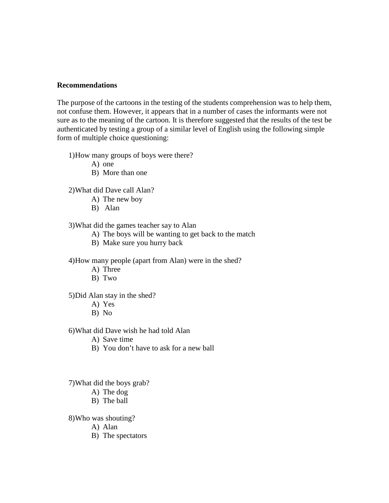#### **Recommendations**

The purpose of the cartoons in the testing of the students comprehension was to help them, not confuse them. However, it appears that in a number of cases the informants were not sure as to the meaning of the cartoon. It is therefore suggested that the results of the test be authenticated by testing a group of a similar level of English using the following simple form of multiple choice questioning:

1)How many groups of boys were there?

A) one

B) More than one

2)What did Dave call Alan?

- A) The new boy
- B) Alan

3)What did the games teacher say to Alan

- A) The boys will be wanting to get back to the match
- B) Make sure you hurry back

4)How many people (apart from Alan) were in the shed?

- A) Three
- B) Two

5)Did Alan stay in the shed?

- A) Yes
- B) No

6)What did Dave wish he had told Alan

- A) Save time
- B) You don't have to ask for a new ball

7)What did the boys grab?

- A) The dog
- B) The ball

8)Who was shouting?

A) Alan

B) The spectators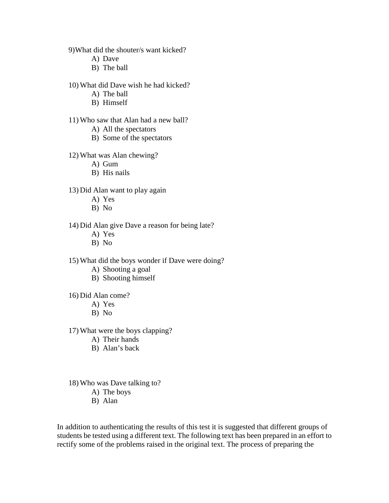9)What did the shouter/s want kicked?

- A) Dave
- B) The ball
- 10) What did Dave wish he had kicked?
	- A) The ball
	- B) Himself

#### 11) Who saw that Alan had a new ball?

- A) All the spectators
- B) Some of the spectators
- 12) What was Alan chewing?
	- A) Gum
	- B) His nails
- 13) Did Alan want to play again
	- A) Yes
	- B) No
- 14) Did Alan give Dave a reason for being late?
	- A) Yes
	- B) No
- 15) What did the boys wonder if Dave were doing?
	- A) Shooting a goal
	- B) Shooting himself
- 16) Did Alan come?
	- A) Yes
	- B) No
- 17) What were the boys clapping?
	- A) Their hands
	- B) Alan's back
- 18) Who was Dave talking to?
	- A) The boys
	- B) Alan

In addition to authenticating the results of this test it is suggested that different groups of students be tested using a different text. The following text has been prepared in an effort to rectify some of the problems raised in the original text. The process of preparing the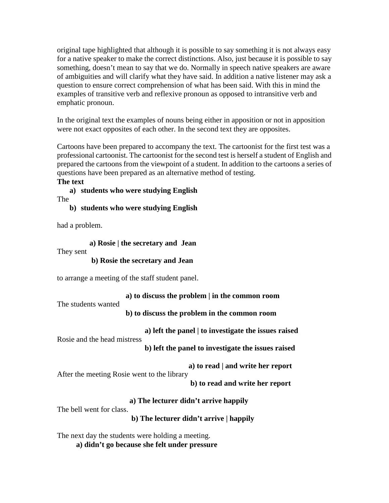original tape highlighted that although it is possible to say something it is not always easy for a native speaker to make the correct distinctions. Also, just because it is possible to say something, doesn't mean to say that we do. Normally in speech native speakers are aware of ambiguities and will clarify what they have said. In addition a native listener may ask a question to ensure correct comprehension of what has been said. With this in mind the examples of transitive verb and reflexive pronoun as opposed to intransitive verb and emphatic pronoun.

In the original text the examples of nouns being either in apposition or not in apposition were not exact opposites of each other. In the second text they are opposites.

Cartoons have been prepared to accompany the text. The cartoonist for the first test was a professional cartoonist. The cartoonist for the second test is herself a student of English and prepared the cartoons from the viewpoint of a student. In addition to the cartoons a series of questions have been prepared as an alternative method of testing.

**The text a) students who were studying English**

The

**b) students who were studying English**

had a problem.

**a) Rosie | the secretary and Jean**

They sent

## **b) Rosie the secretary and Jean**

to arrange a meeting of the staff student panel.

**a) to discuss the problem | in the common room**

The students wanted

**b) to discuss the problem in the common room**

 **a) left the panel | to investigate the issues raised** Rosie and the head mistress

**b) left the panel to investigate the issues raised**

**a) to read | and write her report**

After the meeting Rosie went to the library **b) to read and write her report**

**a) The lecturer didn't arrive happily**

The bell went for class.

**b) The lecturer didn't arrive | happily**

The next day the students were holding a meeting.

**a) didn't go because she felt under pressure**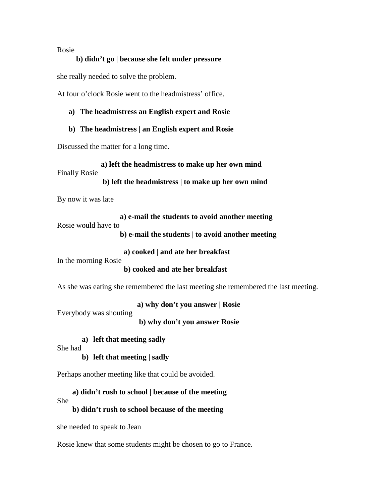#### Rosie

#### **b) didn't go | because she felt under pressure**

she really needed to solve the problem.

At four o'clock Rosie went to the headmistress' office.

## **a) The headmistress an English expert and Rosie**

#### **b) The headmistress | an English expert and Rosie**

Discussed the matter for a long time.

**a) left the headmistress to make up her own mind**

Finally Rosie

**b) left the headmistress | to make up her own mind**

By now it was late

 **a) e-mail the students to avoid another meeting** Rosie would have to

**b) e-mail the students | to avoid another meeting**

**a) cooked | and ate her breakfast**

In the morning Rosie

**b) cooked and ate her breakfast**

As she was eating she remembered the last meeting she remembered the last meeting.

**a) why don't you answer | Rosie**

Everybody was shouting

**b) why don't you answer Rosie**

**a) left that meeting sadly**

She had

**b) left that meeting | sadly**

Perhaps another meeting like that could be avoided.

**a) didn't rush to school | because of the meeting**

She

**b) didn't rush to school because of the meeting**

she needed to speak to Jean

Rosie knew that some students might be chosen to go to France.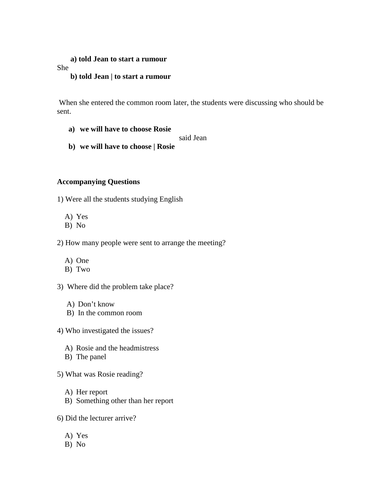#### **a) told Jean to start a rumour**

She

#### **b) told Jean | to start a rumour**

When she entered the common room later, the students were discussing who should be sent.

**a) we will have to choose Rosie**

said Jean

**b) we will have to choose | Rosie**

## **Accompanying Questions**

1) Were all the students studying English

- A) Yes
- B) No

2) How many people were sent to arrange the meeting?

- A) One
- B) Two

3) Where did the problem take place?

- A) Don't know
- B) In the common room
- 4) Who investigated the issues?
	- A) Rosie and the headmistress
	- B) The panel
- 5) What was Rosie reading?
	- A) Her report
	- B) Something other than her report
- 6) Did the lecturer arrive?
	- A) Yes
	- B) No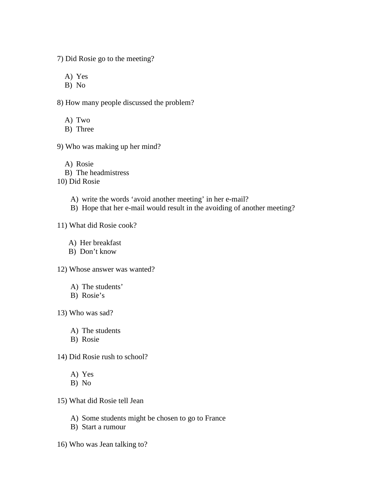7) Did Rosie go to the meeting?

A) Yes

B) No

8) How many people discussed the problem?

A) Two

B) Three

9) Who was making up her mind?

A) Rosie B) The headmistress 10) Did Rosie

A) write the words 'avoid another meeting' in her e-mail?

B) Hope that her e-mail would result in the avoiding of another meeting?

11) What did Rosie cook?

A) Her breakfast

B) Don't know

12) Whose answer was wanted?

A) The students'

B) Rosie's

13) Who was sad?

A) The students

B) Rosie

14) Did Rosie rush to school?

A) Yes

B) No

15) What did Rosie tell Jean

A) Some students might be chosen to go to France

B) Start a rumour

16) Who was Jean talking to?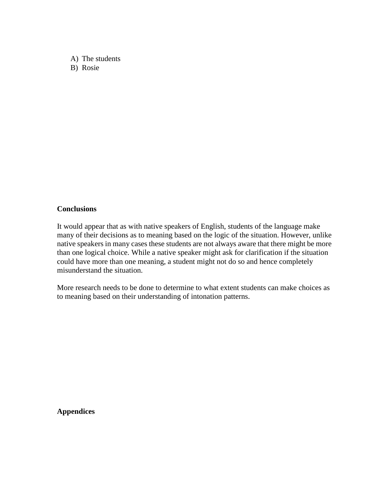A) The students B) Rosie

#### **Conclusions**

It would appear that as with native speakers of English, students of the language make many of their decisions as to meaning based on the logic of the situation. However, unlike native speakers in many cases these students are not always aware that there might be more than one logical choice. While a native speaker might ask for clarification if the situation could have more than one meaning, a student might not do so and hence completely misunderstand the situation.

More research needs to be done to determine to what extent students can make choices as to meaning based on their understanding of intonation patterns.

**Appendices**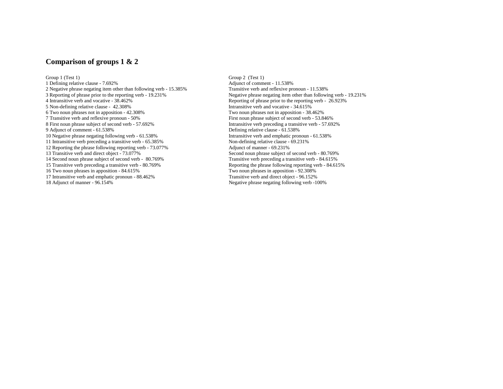#### **Comparison of groups 1 & 2**

Group 1 (Test 1) Group 2 (Test 1) 1 Defining relative clause - 7.692% 2 Negative phrase negating item other than following verb - 15.385% Transitive verb and reflexive pronoun - 11.538%<br>3 Reporting of phrase prior to the reporting verb - 19.231% Negative phrase negating item other than follo 3 Reporting of phrase prior to the reporting verb - 19.231% Negative phrase negating item other than following verb - 19.231% Reporting of phrase prior to the reporting verb - 26.923% 5 Non-defining relative clause - 42.308%<br>6 Two noun phrases not in apposition - 42.308% 6 Two noun phrases not in apposition - 42.308% Two noun phrases not in apposition - 38.462% 7 Transitive verb and reflexive pronoun - 50% First noun phrase subject of second verb - 53.846%<br>8 First noun phrase subject of second verb - 57.692% Intransitive verb preceding a transitive verb - 57.69 8 First noun phrase subject of second verb - 57.692% Intransitive verb preceding a transitive verb - 57.692% Intransitive verb preceding a transitive verb - 57.692% 10 Negative phrase negating following verb - 61.538% Intransitive verb and emphatic pronoun - 11 Intransitive verb preceding a transitive verb - 65.385% Intransitive verb and emphatic pronoun - 65.385% 11 Intransitive verb preceding a transitive verb - 65.385% Non-defining relative clause - 12 Reporting the phrase following reporting verb - 73.077% Adjunct of manner - 69.231% 12 Reporting the phrase following reporting verb  $-73.077\%$ 13 Transitive verb and direct object - 73.077% Second noun phrase subject of second verb - 80.769% Second noun phrase subject of second verb - 80.769% Transitive verb preceding a transitive verb - 84.615% 14 Second noun phrase subject of second verb - 80.769% Transitive verb preceding a transitive verb - 84.615% Transitive verb preceding a transitive verb preceding a transitive verb - 80.769% Reporting the phrase following 15 Transitive verb preceding a transitive verb - 80.769% Reporting the phrase following reporting verb - 84.615% Reporting the phrases in apposition - 82.308% 16 Two noun phrases in apposition - 84.615% Two noun phrases in apposition - 92.308% Two noun phrases in apposition - 92.308% Transitive verb and emphatic pronoun - 88.462% Transitive verb and direct object - 96.152% 17 Intransitive verb and emphatic pronoun - 88.462%<br>18 Adjunct of manner - 96.154%

Reporting of phrase prior to the reporting verb - 26.923% Intransitive verb and vocative - 34.615% Defining relative clause - 61.538%<br>Intransitive verb and emphatic pronoun - 61.538% Negative phrase negating following verb -100%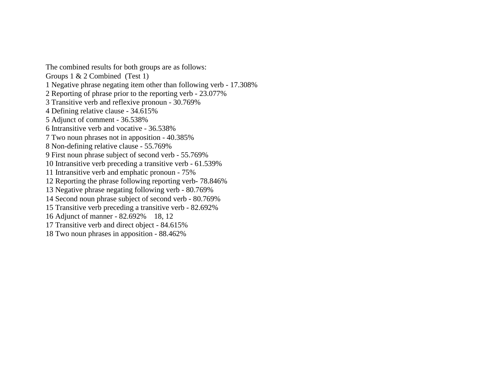The combined results for both groups are as follows: Groups 1 & 2 Combined (Test 1) 1 Negative phrase negating item other than following verb - 17.308% 2 Reporting of phrase prior to the reporting verb - 23.077% 3 Transitive verb and reflexive pronoun - 30.769% 4 Defining relative clause - 34.615% 5 Adjunct of comment - 36.538% 6 Intransitive verb and vocative - 36.538% 7 Two noun phrases not in apposition - 40.385% 8 Non-defining relative clause - 55.769% 9 First noun phrase subject of second verb - 55.769% 10 Intransitive verb preceding a transitive verb - 61.539% 11 Intransitive verb and emphatic pronoun - 75% 12 Reporting the phrase following reporting verb- 78.846% 13 Negative phrase negating following verb - 80.769% 14 Second noun phrase subject of second verb - 80.769% 15 Transitive verb preceding a transitive verb - 82.692% 16 Adjunct of manner - 82.692% 18, 12 17 Transitive verb and direct object - 84.615% 18 Two noun phrases in apposition - 88.462%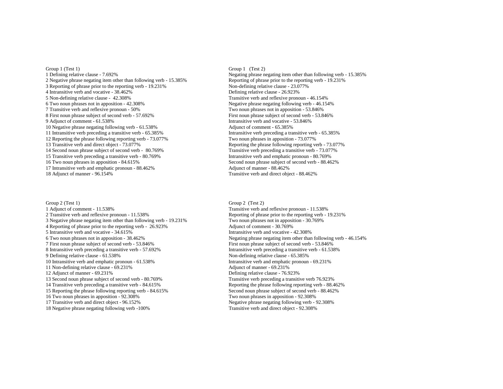Group 1 (Test 1) Group 1 (Test 2)<br>1 Defining relative clause - 7.692% Segating phrase n 2 Negative phrase negating item other than following verb - 15.385% 3 Reporting of phrase prior to the reporting verb - 19.231% Non-defining relative clause - 23.077%<br>4 Intransitive verb and vocative - 38.462% Defining relative clause - 26.923% 4 Intransitive verb and vocative - 38.462% 5 Non-defining relative clause - 42.308%<br>6 Two noun phrases not in apposition - 42.308% Two noun phrases not in apposition - 42.308% 7 Transitive verb and reflexive pronoun - 50% Two noun phrases not in apposition - 53.846% 8 First noun phrase subject of second verb - 57.692% First noun phrase subject of second verb - 53.846% First noun phrase subject of second verb - 53.846% 10 Negative phrase negating following verb - 61.538% Adjunct of comment - 65.385% 11 Intransitive verb preceding a transitive verb - 65.385% Intransitive verb preceding a transitive verb - 65.385% Intransitive verb - 65.385% Intransitive verb - 65.385% Intransitive verb - 65.385% Intransitive verb - 73. 12 Reporting the phrase following reporting verb - 73.077%<br>13 Transitive verb and direct object - 73.077% 14 Second noun phrase subject of second verb - 80.769% 15 Transitive verb preceding a transitive verb - 80.769% Intransitive verb and emphatic pronoun - 80.769% Intransitive verb and emphatic pronoun - 80.769% Intransitive verb and emphatic pronoun - 88.46<br>16 Two noun phrases 17 Intransitive verb and emphatic pronoun -  $88.462%$ 18 Adjunct of manner - 96.154% Transitive verb and direct object - 88.462%

Group 2 (Test 1) Group 2 (Test 2)<br>
1 Adjunct of comment - 11.538% Transitive verb and Transitive verb and Transitive verb and Transitive verb and Transitive verb and Transitive verb and Transitive verb and Transitive verb 1 Adjunct of comment - 11.538% Transitive verb and reflexive pronoun - 11.538% Transitive verb and reflexive pronoun - 11.538% Reporting of phrase prior to the reporting verb - 1 3 Negative phrase negating item other than following verb - 19.231% Two noun phrases not in apposition - 30.769% 4 Reporting of phrase prior to the reporting verb - 26.923% Adjunct of comment - 30.769%<br>5 Intransitive verb and vocative - 34.615% Adjunct of comment - 30.769% 5 Intransitive verb and vocative - 34.615%<br>6 Two noun phrases not in apposition - 38.462% 7 First noun phrase subject of second verb - 53.846% First noun phrase subject of second verb - 53.846% First noun phrase subject of second verb - 53.846% First noun phrase subject of second verb - 53.846% Intransitive ver 8 Intransitive verb preceding a transitive verb - 57.692%<br>9 Defining relative clause - 61.538% 10 Intransitive verb and emphatic pronoun - 61.538% Intransitive verb and emphatic pronoun - 69.231% Intransitive verb and emphatic pronoun - 69.231% 11 Non-defining relative clause - 69.231% 12 Adjunct of manner - 69.231%<br>13 Second noun phrase subject of second verb - 80.769%<br>13 Second noun phrase subject of second verb - 80.769% 13 Second noun phrase subject of second verb - 80.769% 14 Transitive verb preceding a transitive verb - 84.615% 15 Reporting the phrase following reporting verb - 84.615% 16 Two noun phrases in apposition - 92.308% Two noun phrases in apposition - 92.308% Two noun phrases in apposition - 92.308% Transitive verb and direct object - 96.152% Tubes of the set of the set of the set of the set of 18 Negative phrase negating following verb -100% Transitive verb and direct object - 92.308%

Negating phrase negating item other than following verb - 15.385% Reporting of phrase prior to the reporting verb - 19.231% Negative phrase negating following verb - 46.154% Intransitive verb and vocative - 53.846% Reporting the phrase following reporting verb - 73.077% Transitive verb preceding a transitive verb - 73.077% 16 Second noun phrase subject of second verb - 88.462%<br>Adjunct of manner - 88.462%

Reporting of phrase prior to the reporting verb - 19.231% Negating phrase negating item other than following verb - 46.154% Non-defining relative clause - 65.385% Reporting the phrase following reporting verb - 88.462% Second noun phrase subject of second verb - 88.462% Negative phrase negating following verb - 92.308%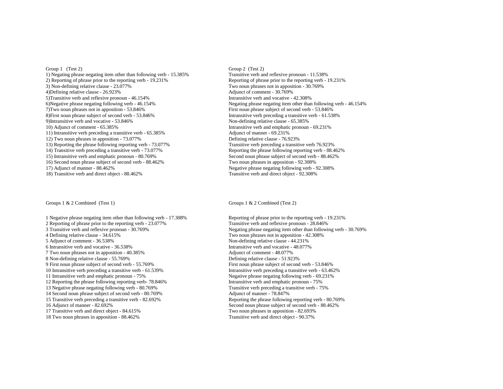1) Negating phrase negating item other than following verb - 15.385% Transitive verb and reflexive pronoun - 11.538% 2) Reporting of phrase prior to the reporting verb - 19.231% 2) Reporting of phrase prior to the reporting verb - 19.231% Reporting of phrase prior to the reporting verb - 19.231% 3) Non-defining relative clause - 23.077% Two noun phrases not in apposition - 30.769% 4)Defining relative clause - 26.923% Adjunct of comment - 30.769%<br>5)Transitive verb and reflexive pronoun - 46.154% Antransitive verb and vocative - 42.308% 5)Transitive verb and reflexive pronoun -  $46.154\%$ <br>6)Negative phrase negating following verb -  $46.154\%$ 7)Two noun phrases not in apposition - 53.846% First noun phrase subject of second verb - 53.846% 8)First noun phrase subject of second verb - 53.846% Intransitive verb preceding a transitive verb - 61.538% Intransitive verb and vocative - 53.846% Intransitive verb and vocative - 53.846% 9)Intransitive verb and vocative - 53.846% 10) Adjunct of comment - 65.385% Intransitive verb and emphatic pronoun - 69.231% 11) Intransitive verb preceding a transitive verb - 65.385% Adjunct of manner - 69.231%<br>12) Two noun phrases in apposition - 73.077% <br>Defining relative clause - 76.923% 12) Two noun phrases in apposition - 73.077% Defining relative clause - 76.923% Defining relative clause - 76.923% Defining relative clause - 76.923% Transitive verb preceding a transitive verb 76.923% 13) Reporting the phrase following reporting verb - 73.077% 14) Transitive verb preceding a transitive verb - 73.077% 15) Intransitive verb and emphatic pronoun - 80.769% Second noun phrase subject of second verb - 88.462% Second noun phrase subject of second verb - 88.462% Two noun phrases in apposition - 92.308% 16) Second noun phrase subject of second verb - 88.462% T7) Adjunct of manner - 88.462% 18) Transitive verb and direct object - 88.462%

#### Groups 1 & 2 Combined (Test 1) Groups 1 & 2 Combined (Test 2)

1 Negative phrase negating item other than following verb - 17.308% Reporting of phrase prior to the reporting verb - 19.231% Transitive verb and reflexive pronoun - 28.846% 2 Reporting of phrase prior to the reporting verb - 23.077% 3 Transitive verb and reflexive pronoun - 30.769% 3 Transitive verb and reflexive pronoun - 30.769% Negating phrase negating item other than following verb - 30.769%<br>4 Defining relative clause - 34.615% Two noun phrases not in apposition - 42.308% 5 Adjunct of comment - 36.538% Non-defining relative clause - 44.231%<br>6 Intransitive verb and vocative - 36.538% Sharehold and vocative - 48.077% 6 Intransitive verb and vocative  $-36.538\%$ 7 Two noun phrases not in apposition - 40.385% Adjunct of comment - 48.077% Adjunct of comment - 48.077% 8 Non-defining relative clause - 51.923% 8 Non-defining relative clause - 55.769% 9 First noun phrase subject of second verb - 55.769% First noun phrase subject of second verb - 53.846% First noun phrase subject of second verb - 53.846% First noun phrase subject of second verb - 53.846% 10 Intransitive verb preceding a transitive verb - 61.539%<br>11 Intransitive verb and emphatic pronoun - 75% 12 Reporting the phrase following reporting verb- 78.846% Intransitive verb and emphatic pronoun - 75% Intransitive verb and emphatic pronoun - 75% Intransitive verb preceding a transitive verb - 75% 13 Negative phrase negating following verb - 80.769% Transitive verb preceding a transitive verb preceding a transitive verb - 80.769% Transitive verb - 80.769% Adjunct of manner - 78.847% 14 Second noun phrase subject of second verb - 80.769%<br>15 Transitive verb preceding a transitive verb - 82.692% 15 Transitive verb preceding a transitive verb - 82.692% Reporting the phrase following reporting verb - 80.769%<br>16 Adjunct of manner - 82.692% Second noun phrase subject of second verb - 88.462% 17 Transitive verb and direct object - 84.615% Two noun phrases in apposition - 82.693% Two noun phrases in apposition - 88.462% Transitive verb and direct object - 90.37%  $18$  Two noun phrases in apposition -  $88.462\%$ 

Group 1 (Test 2)<br>
1) Negating phrase negating item other than following verb - 15.385%<br>
Transitive verb and reflexive pronoun - 11.538% Negating phrase negating item other than following verb - 46.154% Reporting the phrase following reporting verb - 88.462% Negative phrase negating following verb - 92.308%<br>Transitive verb and direct object - 92.308%

Two noun phrases not in apposition - 42.308% Negative phrase negating following verb - 69.231%<br>Intransitive verb and emphatic pronoun - 75% Second noun phrase subject of second verb - 88.462%